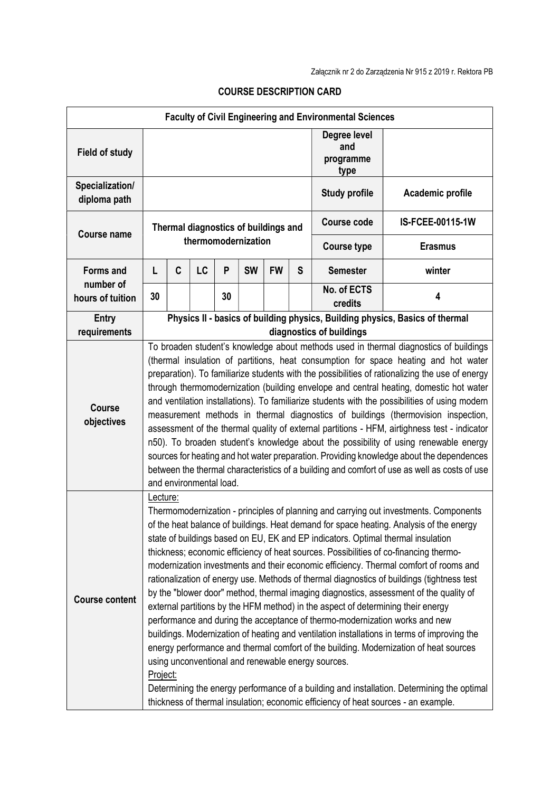| <b>Faculty of Civil Engineering and Environmental Sciences</b> |                                                                                                                                                                                                                                                                                                                                                                                                                                                                                                                                                                                                                                                                                                                                                                                                                                                                                                                                                                                                                                                                                                                                                                                                                                                                             |   |    |    |           |           |   |                                          |                  |
|----------------------------------------------------------------|-----------------------------------------------------------------------------------------------------------------------------------------------------------------------------------------------------------------------------------------------------------------------------------------------------------------------------------------------------------------------------------------------------------------------------------------------------------------------------------------------------------------------------------------------------------------------------------------------------------------------------------------------------------------------------------------------------------------------------------------------------------------------------------------------------------------------------------------------------------------------------------------------------------------------------------------------------------------------------------------------------------------------------------------------------------------------------------------------------------------------------------------------------------------------------------------------------------------------------------------------------------------------------|---|----|----|-----------|-----------|---|------------------------------------------|------------------|
| <b>Field of study</b>                                          |                                                                                                                                                                                                                                                                                                                                                                                                                                                                                                                                                                                                                                                                                                                                                                                                                                                                                                                                                                                                                                                                                                                                                                                                                                                                             |   |    |    |           |           |   | Degree level<br>and<br>programme<br>type |                  |
| Specialization/<br>diploma path                                |                                                                                                                                                                                                                                                                                                                                                                                                                                                                                                                                                                                                                                                                                                                                                                                                                                                                                                                                                                                                                                                                                                                                                                                                                                                                             |   |    |    |           |           |   | <b>Study profile</b>                     | Academic profile |
| <b>Course name</b>                                             | Thermal diagnostics of buildings and<br>thermomodernization                                                                                                                                                                                                                                                                                                                                                                                                                                                                                                                                                                                                                                                                                                                                                                                                                                                                                                                                                                                                                                                                                                                                                                                                                 |   |    |    |           |           |   | <b>Course code</b>                       | IS-FCEE-00115-1W |
|                                                                |                                                                                                                                                                                                                                                                                                                                                                                                                                                                                                                                                                                                                                                                                                                                                                                                                                                                                                                                                                                                                                                                                                                                                                                                                                                                             |   |    |    |           |           |   | <b>Course type</b>                       | <b>Erasmus</b>   |
| <b>Forms and</b>                                               | L                                                                                                                                                                                                                                                                                                                                                                                                                                                                                                                                                                                                                                                                                                                                                                                                                                                                                                                                                                                                                                                                                                                                                                                                                                                                           | C | LC | P  | <b>SW</b> | <b>FW</b> | S | <b>Semester</b>                          | winter           |
| number of<br>hours of tuition                                  | 30                                                                                                                                                                                                                                                                                                                                                                                                                                                                                                                                                                                                                                                                                                                                                                                                                                                                                                                                                                                                                                                                                                                                                                                                                                                                          |   |    | 30 |           |           |   | No. of ECTS<br>credits                   | 4                |
| <b>Entry</b><br>requirements                                   | Physics II - basics of building physics, Building physics, Basics of thermal<br>diagnostics of buildings                                                                                                                                                                                                                                                                                                                                                                                                                                                                                                                                                                                                                                                                                                                                                                                                                                                                                                                                                                                                                                                                                                                                                                    |   |    |    |           |           |   |                                          |                  |
| <b>Course</b><br>objectives                                    | To broaden student's knowledge about methods used in thermal diagnostics of buildings<br>(thermal insulation of partitions, heat consumption for space heating and hot water<br>preparation). To familiarize students with the possibilities of rationalizing the use of energy<br>through thermomodernization (building envelope and central heating, domestic hot water<br>and ventilation installations). To familiarize students with the possibilities of using modern<br>measurement methods in thermal diagnostics of buildings (thermovision inspection,<br>assessment of the thermal quality of external partitions - HFM, airtighness test - indicator<br>n50). To broaden student's knowledge about the possibility of using renewable energy<br>sources for heating and hot water preparation. Providing knowledge about the dependences<br>between the thermal characteristics of a building and comfort of use as well as costs of use<br>and environmental load.                                                                                                                                                                                                                                                                                             |   |    |    |           |           |   |                                          |                  |
| <b>Course content</b>                                          | Lecture:<br>Thermomodernization - principles of planning and carrying out investments. Components<br>of the heat balance of buildings. Heat demand for space heating. Analysis of the energy<br>state of buildings based on EU, EK and EP indicators. Optimal thermal insulation<br>thickness; economic efficiency of heat sources. Possibilities of co-financing thermo-<br>modernization investments and their economic efficiency. Thermal comfort of rooms and<br>rationalization of energy use. Methods of thermal diagnostics of buildings (tightness test<br>by the "blower door" method, thermal imaging diagnostics, assessment of the quality of<br>external partitions by the HFM method) in the aspect of determining their energy<br>performance and during the acceptance of thermo-modernization works and new<br>buildings. Modernization of heating and ventilation installations in terms of improving the<br>energy performance and thermal comfort of the building. Modernization of heat sources<br>using unconventional and renewable energy sources.<br>Project:<br>Determining the energy performance of a building and installation. Determining the optimal<br>thickness of thermal insulation; economic efficiency of heat sources - an example. |   |    |    |           |           |   |                                          |                  |

## COURSE DESCRIPTION CARD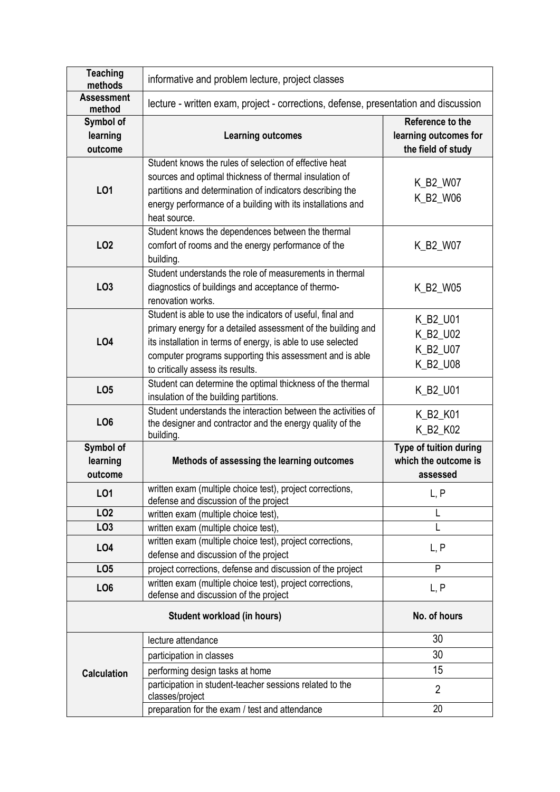| <b>Teaching</b><br>methods       | informative and problem lecture, project classes                                                                                                                                                                                                                                            |                                                                 |  |  |  |  |  |
|----------------------------------|---------------------------------------------------------------------------------------------------------------------------------------------------------------------------------------------------------------------------------------------------------------------------------------------|-----------------------------------------------------------------|--|--|--|--|--|
| <b>Assessment</b><br>method      | lecture - written exam, project - corrections, defense, presentation and discussion                                                                                                                                                                                                         |                                                                 |  |  |  |  |  |
| Symbol of<br>learning<br>outcome | <b>Learning outcomes</b>                                                                                                                                                                                                                                                                    | Reference to the<br>learning outcomes for<br>the field of study |  |  |  |  |  |
| L01                              | Student knows the rules of selection of effective heat<br>sources and optimal thickness of thermal insulation of<br>partitions and determination of indicators describing the<br>energy performance of a building with its installations and<br>heat source.                                | K_B2_W07<br>K_B2_W06                                            |  |  |  |  |  |
| LO <sub>2</sub>                  | Student knows the dependences between the thermal<br>comfort of rooms and the energy performance of the<br>building.                                                                                                                                                                        | K_B2_W07                                                        |  |  |  |  |  |
| LO <sub>3</sub>                  | Student understands the role of measurements in thermal<br>diagnostics of buildings and acceptance of thermo-<br>renovation works.                                                                                                                                                          | K_B2_W05                                                        |  |  |  |  |  |
| <b>LO4</b>                       | Student is able to use the indicators of useful, final and<br>primary energy for a detailed assessment of the building and<br>its installation in terms of energy, is able to use selected<br>computer programs supporting this assessment and is able<br>to critically assess its results. | K_B2_U01<br>K_B2_U02<br>K_B2_U07<br>K_B2_U08                    |  |  |  |  |  |
| LO <sub>5</sub>                  | Student can determine the optimal thickness of the thermal<br>insulation of the building partitions.                                                                                                                                                                                        | K_B2_U01                                                        |  |  |  |  |  |
| LO <sub>6</sub>                  | Student understands the interaction between the activities of<br>the designer and contractor and the energy quality of the<br>building.                                                                                                                                                     | K_B2_K01<br>K_B2_K02                                            |  |  |  |  |  |
| Symbol of<br>learning<br>outcome | Methods of assessing the learning outcomes                                                                                                                                                                                                                                                  | Type of tuition during<br>which the outcome is<br>assessed      |  |  |  |  |  |
| L01                              | written exam (multiple choice test), project corrections,<br>defense and discussion of the project                                                                                                                                                                                          | L, P                                                            |  |  |  |  |  |
| LO <sub>2</sub>                  | written exam (multiple choice test),                                                                                                                                                                                                                                                        | L                                                               |  |  |  |  |  |
| LO <sub>3</sub>                  | written exam (multiple choice test),<br>written exam (multiple choice test), project corrections,                                                                                                                                                                                           |                                                                 |  |  |  |  |  |
| LO <sub>4</sub>                  | defense and discussion of the project                                                                                                                                                                                                                                                       | L, P                                                            |  |  |  |  |  |
| LO <sub>5</sub>                  | project corrections, defense and discussion of the project                                                                                                                                                                                                                                  | P                                                               |  |  |  |  |  |
| LO <sub>6</sub>                  | written exam (multiple choice test), project corrections,<br>defense and discussion of the project                                                                                                                                                                                          | L, P                                                            |  |  |  |  |  |
|                                  |                                                                                                                                                                                                                                                                                             |                                                                 |  |  |  |  |  |
|                                  | Student workload (in hours)                                                                                                                                                                                                                                                                 | No. of hours                                                    |  |  |  |  |  |
|                                  | lecture attendance                                                                                                                                                                                                                                                                          | 30                                                              |  |  |  |  |  |
|                                  | participation in classes                                                                                                                                                                                                                                                                    | 30                                                              |  |  |  |  |  |
| <b>Calculation</b>               | performing design tasks at home                                                                                                                                                                                                                                                             | 15                                                              |  |  |  |  |  |
|                                  | participation in student-teacher sessions related to the<br>classes/project                                                                                                                                                                                                                 | $\overline{2}$                                                  |  |  |  |  |  |